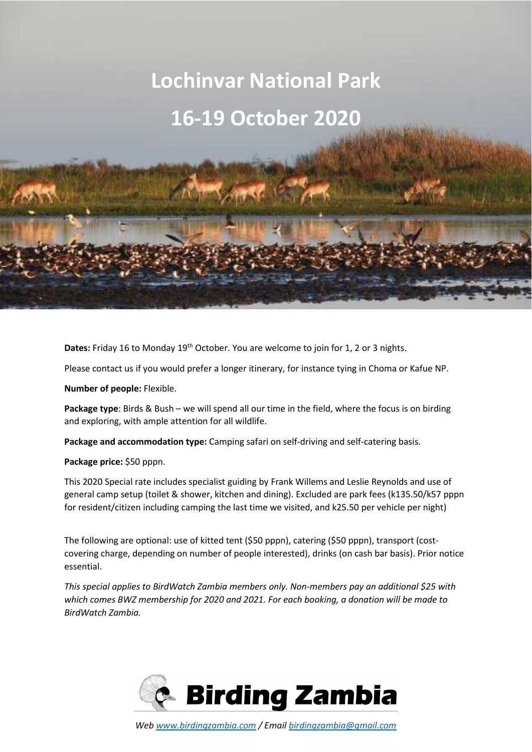# **Lochinvar National Park 16-19 October 2020**

**Dates:** Friday 16 to Monday 19<sup>th</sup> October. You are welcome to join for 1, 2 or 3 nights.

Please contact us if you would prefer a longer itinerary, for instance tying in Choma or Kafue NP.

**Number of people:** Flexible.

**Package type**: Birds & Bush – we will spend all our time in the field, where the focus is on birding and exploring, with ample attention for all wildlife.

**Package and accommodation type:** Camping safari on self-driving and self-catering basis.

**Package price:** \$50 pppn.

This 2020 Special rate includes specialist guiding by Frank Willems and Leslie Reynolds and use of general camp setup (toilet & shower, kitchen and dining). Excluded are park fees (k135.50/k57 pppn for resident/citizen including camping the last time we visited, and k25.50 per vehicle per night)

The following are optional: use of kitted tent (\$50 pppn), catering (\$50 pppn), transport (costcovering charge, depending on number of people interested), drinks (on cash bar basis). Prior notice essential.

*This special applies to BirdWatch Zambia members only. Non-members pay an additional \$25 with which comes BWZ membership for 2020 and 2021. For each booking, a donation will be made to BirdWatch Zambia.* 

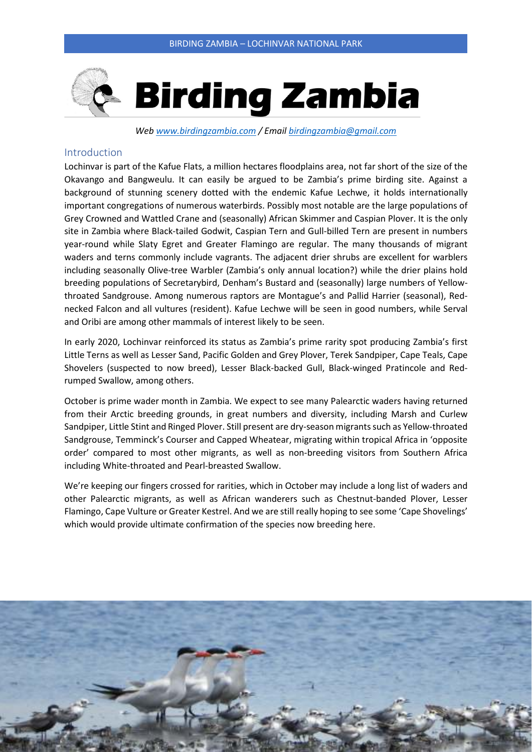

*Web www.birdingzambia.com / Email birdingzambia@gmail.com* 

### Introduction

Lochinvar is part of the Kafue Flats, a million hectares floodplains area, not far short of the size of the Okavango and Bangweulu. It can easily be argued to be Zambia's prime birding site. Against a background of stunning scenery dotted with the endemic Kafue Lechwe, it holds internationally important congregations of numerous waterbirds. Possibly most notable are the large populations of Grey Crowned and Wattled Crane and (seasonally) African Skimmer and Caspian Plover. It is the only site in Zambia where Black-tailed Godwit, Caspian Tern and Gull-billed Tern are present in numbers year-round while Slaty Egret and Greater Flamingo are regular. The many thousands of migrant waders and terns commonly include vagrants. The adjacent drier shrubs are excellent for warblers including seasonally Olive-tree Warbler (Zambia's only annual location?) while the drier plains hold breeding populations of Secretarybird, Denham's Bustard and (seasonally) large numbers of Yellowthroated Sandgrouse. Among numerous raptors are Montague's and Pallid Harrier (seasonal), Rednecked Falcon and all vultures (resident). Kafue Lechwe will be seen in good numbers, while Serval and Oribi are among other mammals of interest likely to be seen.

In early 2020, Lochinvar reinforced its status as Zambia's prime rarity spot producing Zambia's first Little Terns as well as Lesser Sand, Pacific Golden and Grey Plover, Terek Sandpiper, Cape Teals, Cape Shovelers (suspected to now breed), Lesser Black-backed Gull, Black-winged Pratincole and Redrumped Swallow, among others.

October is prime wader month in Zambia. We expect to see many Palearctic waders having returned from their Arctic breeding grounds, in great numbers and diversity, including Marsh and Curlew Sandpiper, Little Stint and Ringed Plover. Still present are dry-season migrants such as Yellow-throated Sandgrouse, Temminck's Courser and Capped Wheatear, migrating within tropical Africa in 'opposite order' compared to most other migrants, as well as non-breeding visitors from Southern Africa including White-throated and Pearl-breasted Swallow.

We're keeping our fingers crossed for rarities, which in October may include a long list of waders and other Palearctic migrants, as well as African wanderers such as Chestnut-banded Plover, Lesser Flamingo, Cape Vulture or Greater Kestrel. And we are still really hoping to see some 'Cape Shovelings' which would provide ultimate confirmation of the species now breeding here.

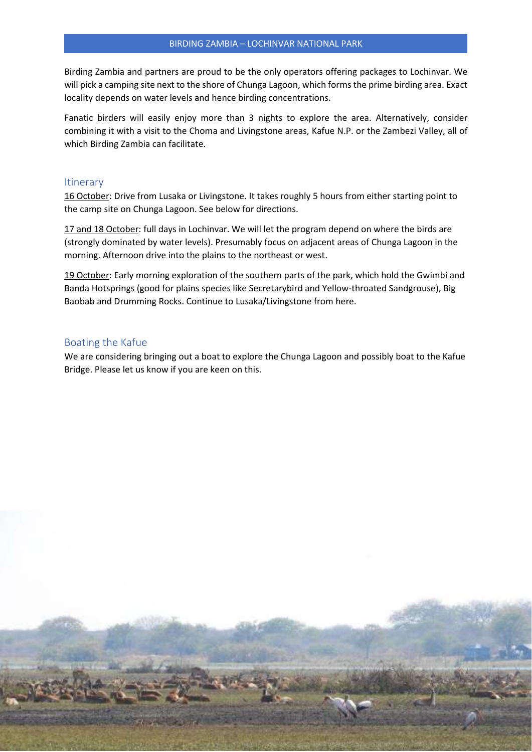Birding Zambia and partners are proud to be the only operators offering packages to Lochinvar. We will pick a camping site next to the shore of Chunga Lagoon, which forms the prime birding area. Exact locality depends on water levels and hence birding concentrations.

Fanatic birders will easily enjoy more than 3 nights to explore the area. Alternatively, consider combining it with a visit to the Choma and Livingstone areas, Kafue N.P. or the Zambezi Valley, all of which Birding Zambia can facilitate.

#### **Itinerary**

16 October: Drive from Lusaka or Livingstone. It takes roughly 5 hours from either starting point to the camp site on Chunga Lagoon. See below for directions.

17 and 18 October: full days in Lochinvar. We will let the program depend on where the birds are (strongly dominated by water levels). Presumably focus on adjacent areas of Chunga Lagoon in the morning. Afternoon drive into the plains to the northeast or west.

19 October: Early morning exploration of the southern parts of the park, which hold the Gwimbi and Banda Hotsprings (good for plains species like Secretarybird and Yellow-throated Sandgrouse), Big Baobab and Drumming Rocks. Continue to Lusaka/Livingstone from here.

#### Boating the Kafue

We are considering bringing out a boat to explore the Chunga Lagoon and possibly boat to the Kafue Bridge. Please let us know if you are keen on this.